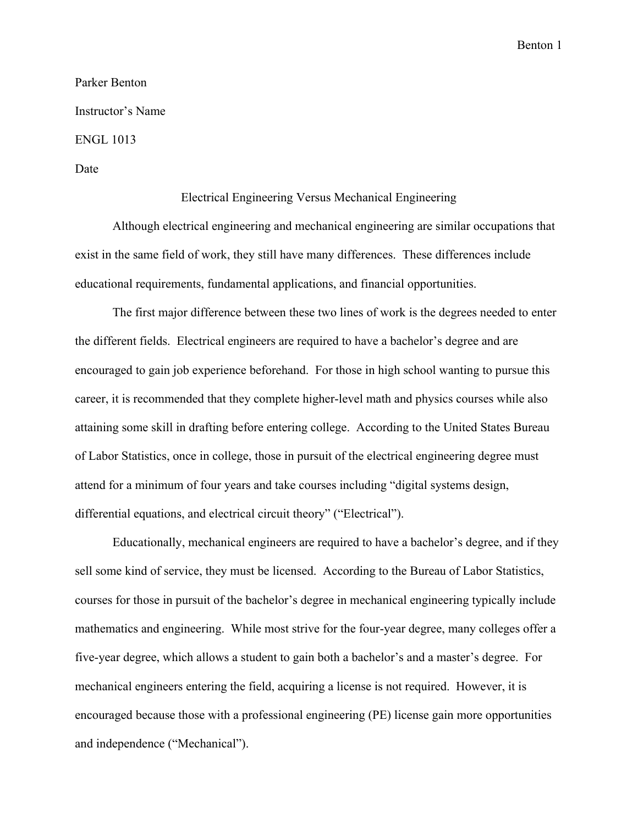Benton 1

## Parker Benton

Instructor's Name

ENGL 1013

Date

## Electrical Engineering Versus Mechanical Engineering

Although electrical engineering and mechanical engineering are similar occupations that exist in the same field of work, they still have many differences. These differences include educational requirements, fundamental applications, and financial opportunities.

The first major difference between these two lines of work is the degrees needed to enter the different fields. Electrical engineers are required to have a bachelor's degree and are encouraged to gain job experience beforehand. For those in high school wanting to pursue this career, it is recommended that they complete higher-level math and physics courses while also attaining some skill in drafting before entering college. According to the United States Bureau of Labor Statistics, once in college, those in pursuit of the electrical engineering degree must attend for a minimum of four years and take courses including "digital systems design, differential equations, and electrical circuit theory" ("Electrical").

Educationally, mechanical engineers are required to have a bachelor's degree, and if they sell some kind of service, they must be licensed. According to the Bureau of Labor Statistics, courses for those in pursuit of the bachelor's degree in mechanical engineering typically include mathematics and engineering. While most strive for the four-year degree, many colleges offer a five-year degree, which allows a student to gain both a bachelor's and a master's degree. For mechanical engineers entering the field, acquiring a license is not required. However, it is encouraged because those with a professional engineering (PE) license gain more opportunities and independence ("Mechanical").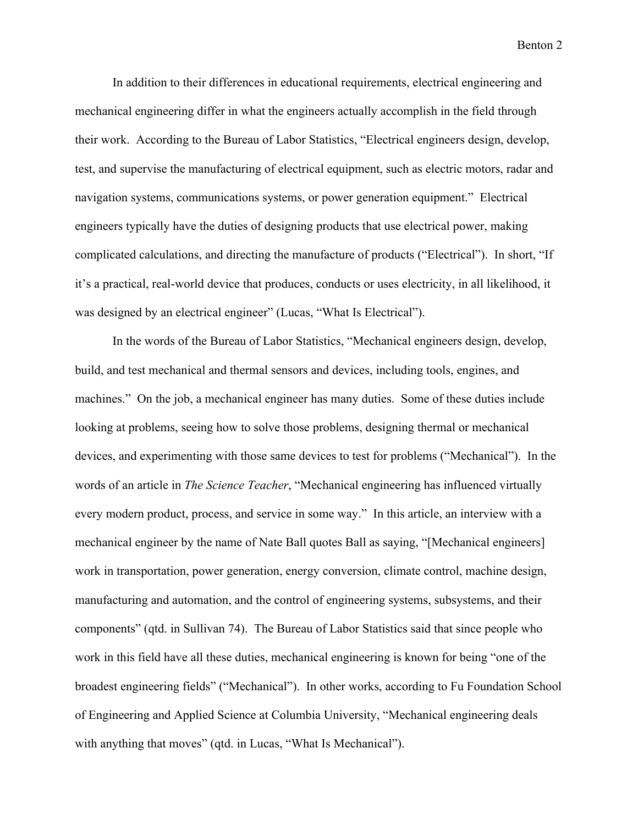Benton 2

In addition to their differences in educational requirements, electrical engineering and mechanical engineering differ in what the engineers actually accomplish in the field through their work. According to the Bureau of Labor Statistics, "Electrical engineers design, develop, test, and supervise the manufacturing of electrical equipment, such as electric motors, radar and navigation systems, communications systems, or power generation equipment." Electrical engineers typically have the duties of designing products that use electrical power, making complicated calculations, and directing the manufacture of products ("Electrical"). In short, "If it's a practical, real-world device that produces, conducts or uses electricity, in all likelihood, it was designed by an electrical engineer" (Lucas, "What Is Electrical").

In the words of the Bureau of Labor Statistics, "Mechanical engineers design, develop, build, and test mechanical and thermal sensors and devices, including tools, engines, and machines." On the job, a mechanical engineer has many duties. Some of these duties include looking at problems, seeing how to solve those problems, designing thermal or mechanical devices, and experimenting with those same devices to test for problems ("Mechanical"). In the words of an article in *The Science Teacher*, "Mechanical engineering has influenced virtually every modern product, process, and service in some way." In this article, an interview with a mechanical engineer by the name of Nate Ball quotes Ball as saying, "[Mechanical engineers] work in transportation, power generation, energy conversion, climate control, machine design, manufacturing and automation, and the control of engineering systems, subsystems, and their components" (qtd. in Sullivan 74). The Bureau of Labor Statistics said that since people who work in this field have all these duties, mechanical engineering is known for being "one of the broadest engineering fields" ("Mechanical"). In other works, according to Fu Foundation School of Engineering and Applied Science at Columbia University, "Mechanical engineering deals with anything that moves" (qtd. in Lucas, "What Is Mechanical").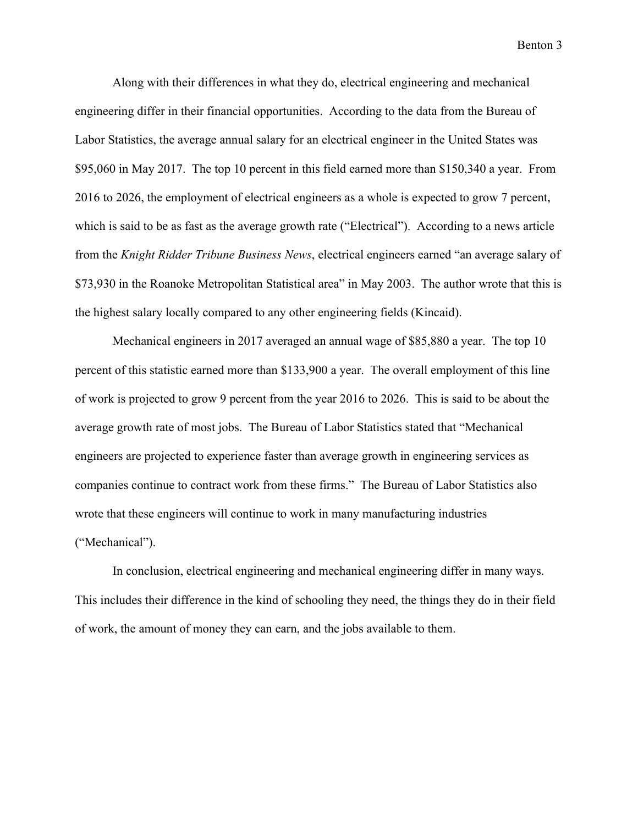Benton 3

Along with their differences in what they do, electrical engineering and mechanical engineering differ in their financial opportunities. According to the data from the Bureau of Labor Statistics, the average annual salary for an electrical engineer in the United States was \$95,060 in May 2017. The top 10 percent in this field earned more than \$150,340 a year. From 2016 to 2026, the employment of electrical engineers as a whole is expected to grow 7 percent, which is said to be as fast as the average growth rate ("Electrical"). According to a news article from the *Knight Ridder Tribune Business News*, electrical engineers earned "an average salary of \$73,930 in the Roanoke Metropolitan Statistical area" in May 2003. The author wrote that this is the highest salary locally compared to any other engineering fields (Kincaid).

Mechanical engineers in 2017 averaged an annual wage of \$85,880 a year. The top 10 percent of this statistic earned more than \$133,900 a year. The overall employment of this line of work is projected to grow 9 percent from the year 2016 to 2026. This is said to be about the average growth rate of most jobs. The Bureau of Labor Statistics stated that "Mechanical engineers are projected to experience faster than average growth in engineering services as companies continue to contract work from these firms." The Bureau of Labor Statistics also wrote that these engineers will continue to work in many manufacturing industries ("Mechanical").

In conclusion, electrical engineering and mechanical engineering differ in many ways. This includes their difference in the kind of schooling they need, the things they do in their field of work, the amount of money they can earn, and the jobs available to them.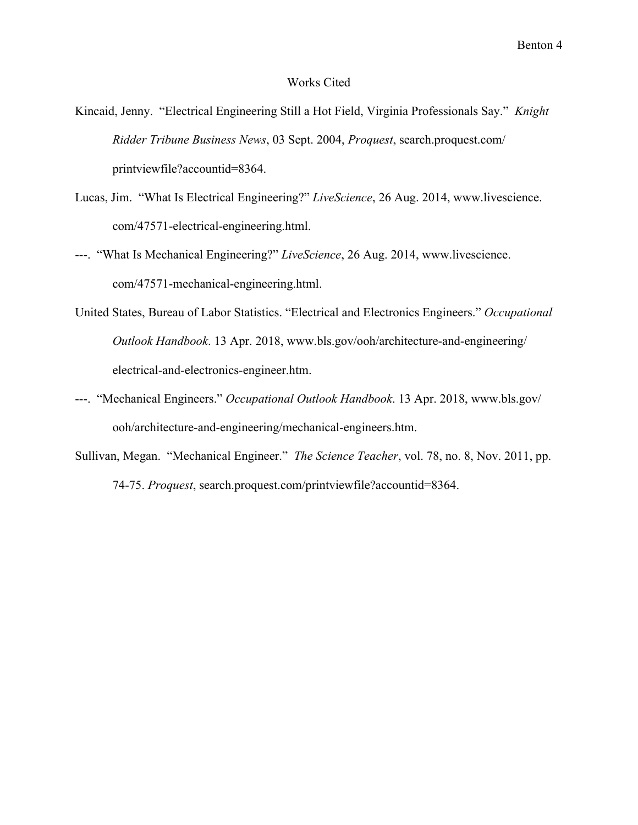## Works Cited

- Kincaid, Jenny. "Electrical Engineering Still a Hot Field, Virginia Professionals Say." *Knight Ridder Tribune Business News*, 03 Sept. 2004, *Proquest*, search.proquest.com/ printviewfile?accountid=8364.
- Lucas, Jim. "What Is Electrical Engineering?" *LiveScience*, 26 Aug. 2014, www.livescience. com/47571-electrical-engineering.html.
- ---. "What Is Mechanical Engineering?" *LiveScience*, 26 Aug. 2014, www.livescience. com/47571-mechanical-engineering.html.
- United States, Bureau of Labor Statistics. "Electrical and Electronics Engineers." *Occupational Outlook Handbook*. 13 Apr. 2018, www.bls.gov/ooh/architecture-and-engineering/ electrical-and-electronics-engineer.htm.
- ---. "Mechanical Engineers." *Occupational Outlook Handbook*. 13 Apr. 2018, www.bls.gov/ ooh/architecture-and-engineering/mechanical-engineers.htm.
- Sullivan, Megan. "Mechanical Engineer." *The Science Teacher*, vol. 78, no. 8, Nov. 2011, pp. 74-75. *Proquest*, search.proquest.com/printviewfile?accountid=8364.